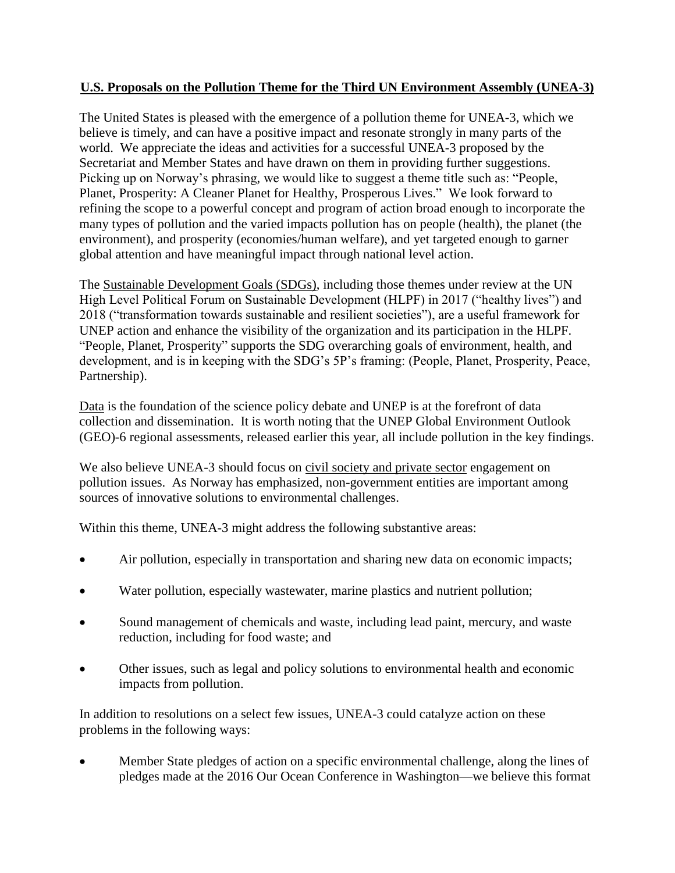## **U.S. Proposals on the Pollution Theme for the Third UN Environment Assembly (UNEA-3)**

The United States is pleased with the emergence of a pollution theme for UNEA-3, which we believe is timely, and can have a positive impact and resonate strongly in many parts of the world. We appreciate the ideas and activities for a successful UNEA-3 proposed by the Secretariat and Member States and have drawn on them in providing further suggestions. Picking up on Norway's phrasing, we would like to suggest a theme title such as: "People, Planet, Prosperity: A Cleaner Planet for Healthy, Prosperous Lives." We look forward to refining the scope to a powerful concept and program of action broad enough to incorporate the many types of pollution and the varied impacts pollution has on people (health), the planet (the environment), and prosperity (economies/human welfare), and yet targeted enough to garner global attention and have meaningful impact through national level action.

The Sustainable Development Goals (SDGs), including those themes under review at the UN High Level Political Forum on Sustainable Development (HLPF) in 2017 ("healthy lives") and 2018 ("transformation towards sustainable and resilient societies"), are a useful framework for UNEP action and enhance the visibility of the organization and its participation in the HLPF. "People, Planet, Prosperity" supports the SDG overarching goals of environment, health, and development, and is in keeping with the SDG's 5P's framing: (People, Planet, Prosperity, Peace, Partnership).

Data is the foundation of the science policy debate and UNEP is at the forefront of data collection and dissemination. It is worth noting that the UNEP Global Environment Outlook (GEO)-6 regional assessments, released earlier this year, all include pollution in the key findings.

We also believe UNEA-3 should focus on civil society and private sector engagement on pollution issues. As Norway has emphasized, non-government entities are important among sources of innovative solutions to environmental challenges.

Within this theme, UNEA-3 might address the following substantive areas:

- Air pollution, especially in transportation and sharing new data on economic impacts;
- Water pollution, especially wastewater, marine plastics and nutrient pollution;
- Sound management of chemicals and waste, including lead paint, mercury, and waste reduction, including for food waste; and
- Other issues, such as legal and policy solutions to environmental health and economic impacts from pollution.

In addition to resolutions on a select few issues, UNEA-3 could catalyze action on these problems in the following ways:

 Member State pledges of action on a specific environmental challenge, along the lines of pledges made at the 2016 Our Ocean Conference in Washington—we believe this format